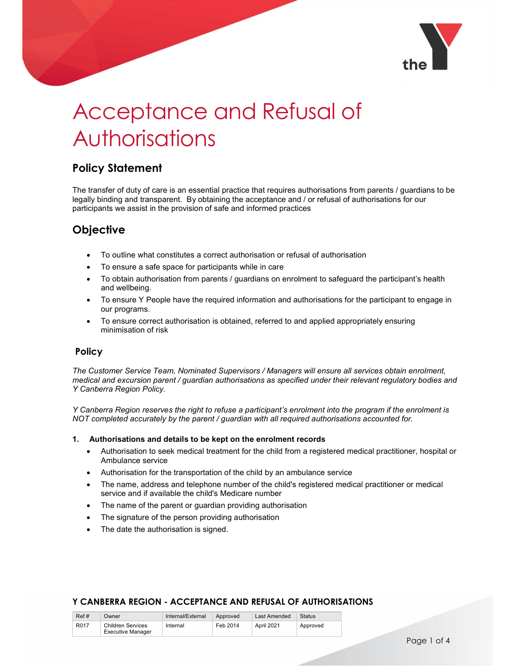

# Acceptance and Refusal of Authorisations

## Policy Statement

The transfer of duty of care is an essential practice that requires authorisations from parents / guardians to be legally binding and transparent. By obtaining the acceptance and / or refusal of authorisations for our participants we assist in the provision of safe and informed practices

# Objective

- To outline what constitutes a correct authorisation or refusal of authorisation
- To ensure a safe space for participants while in care
- To obtain authorisation from parents / guardians on enrolment to safeguard the participant's health and wellbeing.
- To ensure Y People have the required information and authorisations for the participant to engage in our programs.
- To ensure correct authorisation is obtained, referred to and applied appropriately ensuring minimisation of risk

## Policy

The Customer Service Team, Nominated Supervisors / Managers will ensure all services obtain enrolment, medical and excursion parent / guardian authorisations as specified under their relevant regulatory bodies and Y Canberra Region Policy.

Y Canberra Region reserves the right to refuse a participant's enrolment into the program if the enrolment is NOT completed accurately by the parent / guardian with all required authorisations accounted for.

#### 1. Authorisations and details to be kept on the enrolment records

- Authorisation to seek medical treatment for the child from a registered medical practitioner, hospital or Ambulance service
- Authorisation for the transportation of the child by an ambulance service
- The name, address and telephone number of the child's registered medical practitioner or medical service and if available the child's Medicare number
- The name of the parent or guardian providing authorisation
- The signature of the person providing authorisation
- The date the authorisation is signed.

| Ref# | Dwner                    | Internal/External | Approved | Last Amended | <b>Status</b> |  |
|------|--------------------------|-------------------|----------|--------------|---------------|--|
| R017 | Children Services        | Internal          | Feb 2014 | April 2021   | Approved      |  |
|      | <b>Executive Manager</b> |                   |          |              |               |  |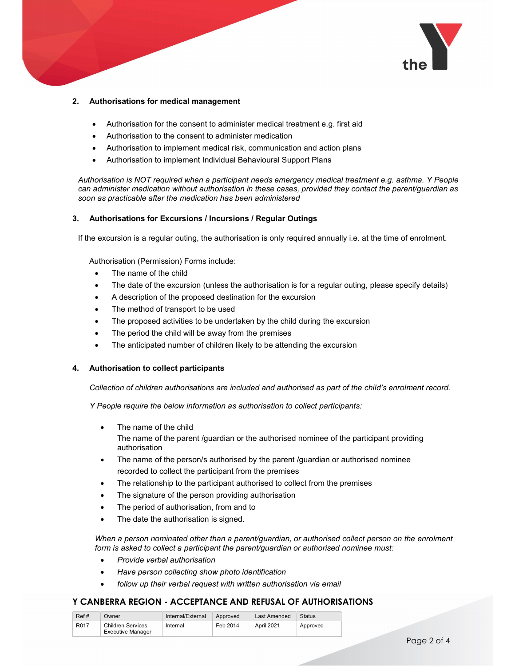

#### 2. Authorisations for medical management

- Authorisation for the consent to administer medical treatment e.g. first aid
- Authorisation to the consent to administer medication
- Authorisation to implement medical risk, communication and action plans
- Authorisation to implement Individual Behavioural Support Plans

Authorisation is NOT required when a participant needs emergency medical treatment e.g. asthma. Y People can administer medication without authorisation in these cases, provided they contact the parent/guardian as soon as practicable after the medication has been administered

#### 3. Authorisations for Excursions / Incursions / Regular Outings

If the excursion is a regular outing, the authorisation is only required annually i.e. at the time of enrolment.

Authorisation (Permission) Forms include:

- The name of the child
- The date of the excursion (unless the authorisation is for a regular outing, please specify details)
- A description of the proposed destination for the excursion
- The method of transport to be used
- The proposed activities to be undertaken by the child during the excursion
- The period the child will be away from the premises
- The anticipated number of children likely to be attending the excursion

#### 4. Authorisation to collect participants

Collection of children authorisations are included and authorised as part of the child's enrolment record.

Y People require the below information as authorisation to collect participants:

The name of the child

The name of the parent /guardian or the authorised nominee of the participant providing authorisation

- The name of the person/s authorised by the parent /guardian or authorised nominee recorded to collect the participant from the premises
- The relationship to the participant authorised to collect from the premises
- The signature of the person providing authorisation
- The period of authorisation, from and to
- The date the authorisation is signed.

When a person nominated other than a parent/guardian, or authorised collect person on the enrolment form is asked to collect a participant the parent/guardian or authorised nominee must:

- Provide verbal authorisation
- Have person collecting show photo identification
- follow up their verbal request with written authorisation via email

| Ref# | Jwner                    | Internal/External | Approved | Last Amended | Status   |
|------|--------------------------|-------------------|----------|--------------|----------|
| R017 | Children Services        | Internal          | Feb 2014 | April 2021   | Approved |
|      | <b>Executive Manager</b> |                   |          |              |          |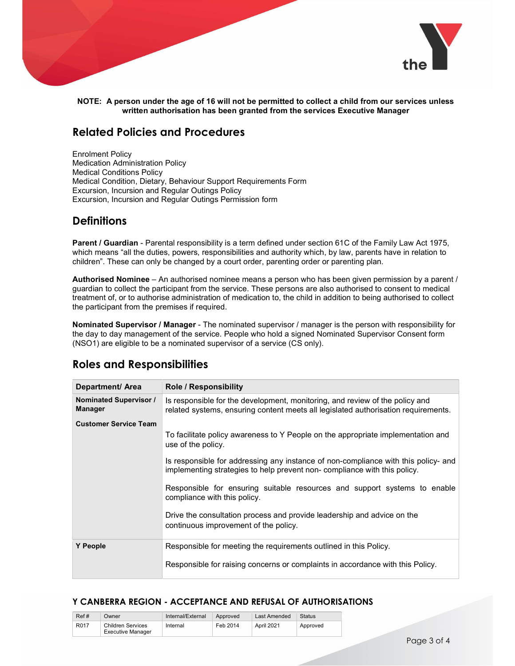

NOTE: A person under the age of 16 will not be permitted to collect a child from our services unless written authorisation has been granted from the services Executive Manager

## Related Policies and Procedures

Enrolment Policy Medication Administration Policy Medical Conditions Policy Medical Condition, Dietary, Behaviour Support Requirements Form Excursion, Incursion and Regular Outings Policy Excursion, Incursion and Regular Outings Permission form

## **Definitions**

Parent / Guardian - Parental responsibility is a term defined under section 61C of the Family Law Act 1975, which means "all the duties, powers, responsibilities and authority which, by law, parents have in relation to children". These can only be changed by a court order, parenting order or parenting plan.

Authorised Nominee – An authorised nominee means a person who has been given permission by a parent / guardian to collect the participant from the service. These persons are also authorised to consent to medical treatment of, or to authorise administration of medication to, the child in addition to being authorised to collect the participant from the premises if required.

Nominated Supervisor / Manager - The nominated supervisor / manager is the person with responsibility for the day to day management of the service. People who hold a signed Nominated Supervisor Consent form (NSO1) are eligible to be a nominated supervisor of a service (CS only).

| Department/ Area                         | <b>Role / Responsibility</b>                                                                                                                                       |
|------------------------------------------|--------------------------------------------------------------------------------------------------------------------------------------------------------------------|
| Nominated Supervisor /<br><b>Manager</b> | Is responsible for the development, monitoring, and review of the policy and<br>related systems, ensuring content meets all legislated authorisation requirements. |
| <b>Customer Service Team</b>             |                                                                                                                                                                    |
|                                          | To facilitate policy awareness to Y People on the appropriate implementation and<br>use of the policy.                                                             |
|                                          | Is responsible for addressing any instance of non-compliance with this policy- and<br>implementing strategies to help prevent non-compliance with this policy.     |
|                                          | Responsible for ensuring suitable resources and support systems to enable<br>compliance with this policy.                                                          |
|                                          | Drive the consultation process and provide leadership and advice on the<br>continuous improvement of the policy.                                                   |
| <b>Y</b> People                          | Responsible for meeting the requirements outlined in this Policy.                                                                                                  |
|                                          | Responsible for raising concerns or complaints in accordance with this Policy.                                                                                     |

## Roles and Responsibilities

| Ref# | Owner                    | Internal/External | Approved | Last Amended | Status   |
|------|--------------------------|-------------------|----------|--------------|----------|
| R017 | <b>Children Services</b> | Internal          | Feb 2014 | April 2021   | Approved |
|      | <b>Executive Manager</b> |                   |          |              |          |